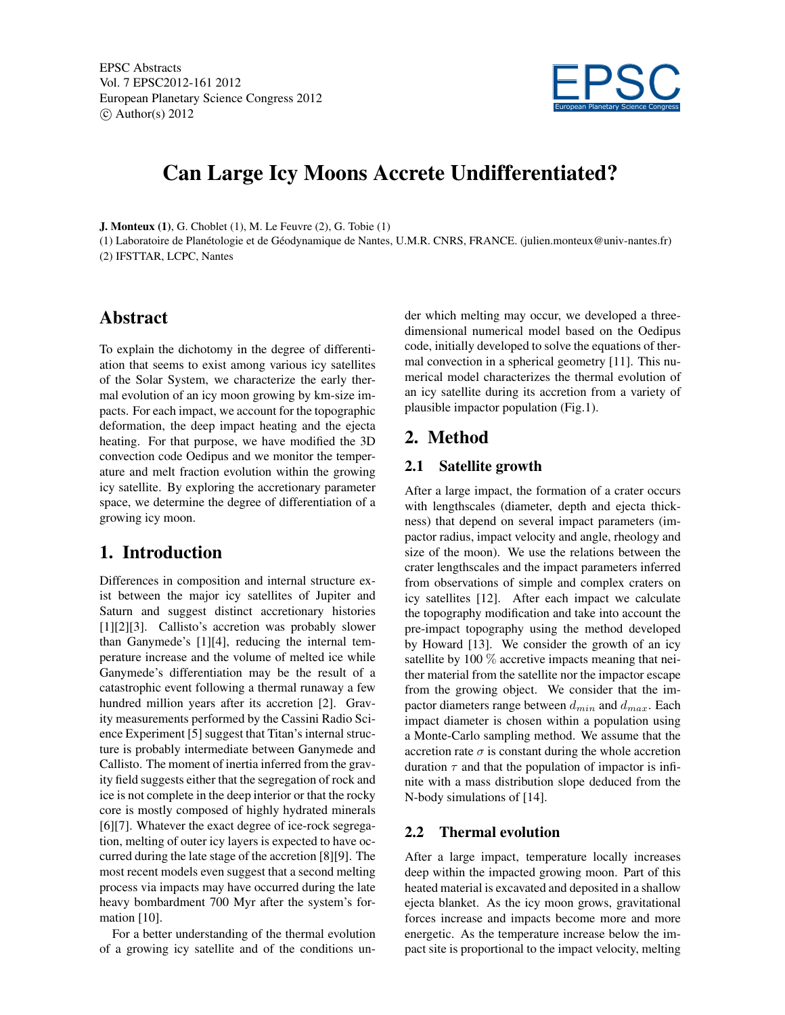EPSC Abstracts Vol. 7 EPSC2012-161 2012 European Planetary Science Congress 2012  $\circ$  Author(s) 2012



# Can Large Icy Moons Accrete Undifferentiated?

J. Monteux (1), G. Choblet (1), M. Le Feuvre (2), G. Tobie (1)

(1) Laboratoire de Planétologie et de Géodynamique de Nantes, U.M.R. CNRS, FRANCE. (julien.monteux@univ-nantes.fr) (2) IFSTTAR, LCPC, Nantes

## Abstract

To explain the dichotomy in the degree of differentiation that seems to exist among various icy satellites of the Solar System, we characterize the early thermal evolution of an icy moon growing by km-size impacts. For each impact, we account for the topographic deformation, the deep impact heating and the ejecta heating. For that purpose, we have modified the 3D convection code Oedipus and we monitor the temperature and melt fraction evolution within the growing icy satellite. By exploring the accretionary parameter space, we determine the degree of differentiation of a growing icy moon.

# 1. Introduction

Differences in composition and internal structure exist between the major icy satellites of Jupiter and Saturn and suggest distinct accretionary histories [1][2][3]. Callisto's accretion was probably slower than Ganymede's [1][4], reducing the internal temperature increase and the volume of melted ice while Ganymede's differentiation may be the result of a catastrophic event following a thermal runaway a few hundred million years after its accretion [2]. Gravity measurements performed by the Cassini Radio Science Experiment [5] suggest that Titan's internal structure is probably intermediate between Ganymede and Callisto. The moment of inertia inferred from the gravity field suggests either that the segregation of rock and ice is not complete in the deep interior or that the rocky core is mostly composed of highly hydrated minerals [6][7]. Whatever the exact degree of ice-rock segregation, melting of outer icy layers is expected to have occurred during the late stage of the accretion [8][9]. The most recent models even suggest that a second melting process via impacts may have occurred during the late heavy bombardment 700 Myr after the system's formation [10].

For a better understanding of the thermal evolution of a growing icy satellite and of the conditions under which melting may occur, we developed a threedimensional numerical model based on the Oedipus code, initially developed to solve the equations of thermal convection in a spherical geometry [11]. This numerical model characterizes the thermal evolution of an icy satellite during its accretion from a variety of plausible impactor population (Fig.1).

# 2. Method

#### 2.1 Satellite growth

After a large impact, the formation of a crater occurs with lengthscales (diameter, depth and ejecta thickness) that depend on several impact parameters (impactor radius, impact velocity and angle, rheology and size of the moon). We use the relations between the crater lengthscales and the impact parameters inferred from observations of simple and complex craters on icy satellites [12]. After each impact we calculate the topography modification and take into account the pre-impact topography using the method developed by Howard [13]. We consider the growth of an icy satellite by 100  $\%$  accretive impacts meaning that neither material from the satellite nor the impactor escape from the growing object. We consider that the impactor diameters range between  $d_{min}$  and  $d_{max}$ . Each impact diameter is chosen within a population using a Monte-Carlo sampling method. We assume that the accretion rate  $\sigma$  is constant during the whole accretion duration  $\tau$  and that the population of impactor is infinite with a mass distribution slope deduced from the N-body simulations of [14].

#### 2.2 Thermal evolution

After a large impact, temperature locally increases deep within the impacted growing moon. Part of this heated material is excavated and deposited in a shallow ejecta blanket. As the icy moon grows, gravitational forces increase and impacts become more and more energetic. As the temperature increase below the impact site is proportional to the impact velocity, melting